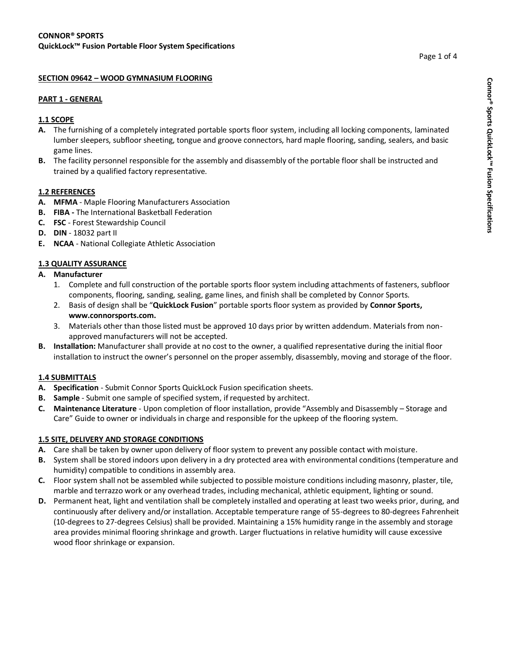# **SECTION 09642 – WOOD GYMNASIUM FLOORING**

#### **PART 1 - GENERAL**

## **1.1 SCOPE**

- **A.** The furnishing of a completely integrated portable sports floor system, including all locking components, laminated lumber sleepers, subfloor sheeting, tongue and groove connectors, hard maple flooring, sanding, sealers, and basic game lines.
- **B.** The facility personnel responsible for the assembly and disassembly of the portable floor shall be instructed and trained by a qualified factory representative.

### **1.2 REFERENCES**

- **A. MFMA** Maple Flooring Manufacturers Association
- **B. FIBA -** The International Basketball Federation
- **C. FSC** Forest Stewardship Council
- **D. DIN** 18032 part II
- **E. NCAA** National Collegiate Athletic Association

## **1.3 QUALITY ASSURANCE**

- **A. Manufacturer** 
	- 1. Complete and full construction of the portable sports floor system including attachments of fasteners, subfloor components, flooring, sanding, sealing, game lines, and finish shall be completed by Connor Sports.
	- 2. Basis of design shall be "**QuickLock Fusion**" portable sports floor system as provided by **Connor Sports, www.connorsports.com.**
	- 3. Materials other than those listed must be approved 10 days prior by written addendum. Materials from nonapproved manufacturers will not be accepted.
- **B. Installation:** Manufacturer shall provide at no cost to the owner, a qualified representative during the initial floor installation to instruct the owner's personnel on the proper assembly, disassembly, moving and storage of the floor.

### **1.4 SUBMITTALS**

- **A. Specification**  Submit Connor Sports QuickLock Fusion specification sheets.
- **B. Sample**  Submit one sample of specified system, if requested by architect.
- **C. Maintenance Literature**  Upon completion of floor installation, provide "Assembly and Disassembly Storage and Care" Guide to owner or individuals in charge and responsible for the upkeep of the flooring system.

### **1.5 SITE, DELIVERY AND STORAGE CONDITIONS**

- **A.** Care shall be taken by owner upon delivery of floor system to prevent any possible contact with moisture.
- **B.** System shall be stored indoors upon delivery in a dry protected area with environmental conditions (temperature and humidity) compatible to conditions in assembly area.
- **C.** Floor system shall not be assembled while subjected to possible moisture conditions including masonry, plaster, tile, marble and terrazzo work or any overhead trades, including mechanical, athletic equipment, lighting or sound.
- **D.** Permanent heat, light and ventilation shall be completely installed and operating at least two weeks prior, during, and continuously after delivery and/or installation. Acceptable temperature range of 55-degrees to 80-degrees Fahrenheit (10-degrees to 27-degrees Celsius) shall be provided. Maintaining a 15% humidity range in the assembly and storage area provides minimal flooring shrinkage and growth. Larger fluctuations in relative humidity will cause excessive wood floor shrinkage or expansion.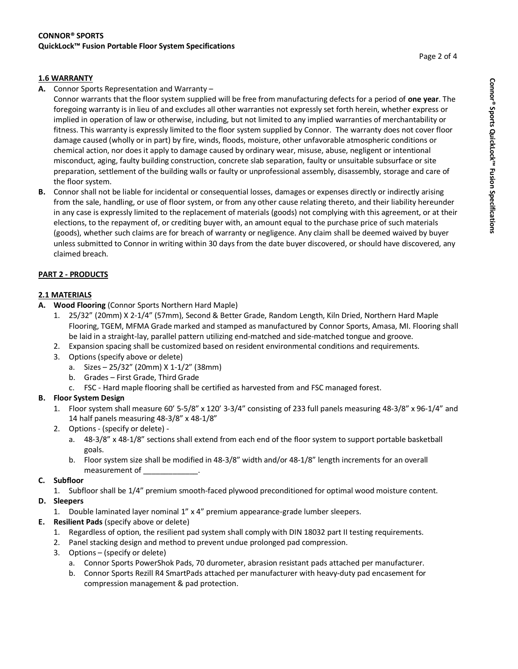## **1.6 WARRANTY**

**A.** Connor Sports Representation and Warranty –

Connor warrants that the floor system supplied will be free from manufacturing defects for a period of **one year**. The foregoing warranty is in lieu of and excludes all other warranties not expressly set forth herein, whether express or implied in operation of law or otherwise, including, but not limited to any implied warranties of merchantability or fitness. This warranty is expressly limited to the floor system supplied by Connor. The warranty does not cover floor damage caused (wholly or in part) by fire, winds, floods, moisture, other unfavorable atmospheric conditions or chemical action, nor does it apply to damage caused by ordinary wear, misuse, abuse, negligent or intentional misconduct, aging, faulty building construction, concrete slab separation, faulty or unsuitable subsurface or site preparation, settlement of the building walls or faulty or unprofessional assembly, disassembly, storage and care of the floor system.

**B.** Connor shall not be liable for incidental or consequential losses, damages or expenses directly or indirectly arising from the sale, handling, or use of floor system, or from any other cause relating thereto, and their liability hereunder in any case is expressly limited to the replacement of materials (goods) not complying with this agreement, or at their elections, to the repayment of, or crediting buyer with, an amount equal to the purchase price of such materials (goods), whether such claims are for breach of warranty or negligence. Any claim shall be deemed waived by buyer unless submitted to Connor in writing within 30 days from the date buyer discovered, or should have discovered, any claimed breach.

## **PART 2 - PRODUCTS**

# **2.1 MATERIALS**

- **A. Wood Flooring** (Connor Sports Northern Hard Maple)
	- 1. 25/32" (20mm) X 2-1/4" (57mm), Second & Better Grade, Random Length, Kiln Dried, Northern Hard Maple Flooring, TGEM, MFMA Grade marked and stamped as manufactured by Connor Sports, Amasa, MI. Flooring shall be laid in a straight-lay, parallel pattern utilizing end-matched and side-matched tongue and groove.
	- 2. Expansion spacing shall be customized based on resident environmental conditions and requirements.
	- 3. Options (specify above or delete)
		- a. Sizes 25/32" (20mm) X 1-1/2" (38mm)
		- b. Grades First Grade, Third Grade
		- c. FSC Hard maple flooring shall be certified as harvested from and FSC managed forest.

### **B. Floor System Design**

- 1. Floor system shall measure 60' 5-5/8" x 120' 3-3/4" consisting of 233 full panels measuring 48-3/8" x 96-1/4" and 14 half panels measuring 48-3/8" x 48-1/8"
- 2. Options (specify or delete)
	- a. 48-3/8" x 48-1/8" sections shall extend from each end of the floor system to support portable basketball goals.
	- b. Floor system size shall be modified in 48-3/8" width and/or 48-1/8" length increments for an overall measurement of \_\_\_\_\_\_\_\_\_\_\_\_\_.

### **C. Subfloor**

1. Subfloor shall be 1/4" premium smooth-faced plywood preconditioned for optimal wood moisture content.

# **D. Sleepers**

- 1. Double laminated layer nominal 1" x 4" premium appearance-grade lumber sleepers.
- **E. Resilient Pads** (specify above or delete)
	- 1. Regardless of option, the resilient pad system shall comply with DIN 18032 part II testing requirements.
	- 2. Panel stacking design and method to prevent undue prolonged pad compression.
	- 3. Options (specify or delete)
		- a. Connor Sports PowerShok Pads, 70 durometer, abrasion resistant pads attached per manufacturer.
		- b. Connor Sports Rezill R4 SmartPads attached per manufacturer with heavy-duty pad encasement for compression management & pad protection.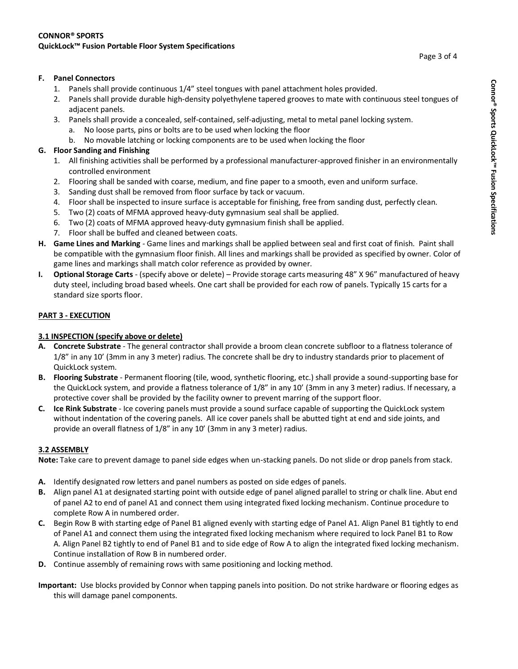## **F. Panel Connectors**

- 1. Panels shall provide continuous 1/4" steel tongues with panel attachment holes provided.
- 2. Panels shall provide durable high-density polyethylene tapered grooves to mate with continuous steel tongues of adjacent panels.
- 3. Panels shall provide a concealed, self-contained, self-adjusting, metal to metal panel locking system.
	- a. No loose parts, pins or bolts are to be used when locking the floor
	- b. No movable latching or locking components are to be used when locking the floor

# **G. Floor Sanding and Finishing**

- 1. All finishing activities shall be performed by a professional manufacturer-approved finisher in an environmentally controlled environment
- 2. Flooring shall be sanded with coarse, medium, and fine paper to a smooth, even and uniform surface.
- 3. Sanding dust shall be removed from floor surface by tack or vacuum.
- 4. Floor shall be inspected to insure surface is acceptable for finishing, free from sanding dust, perfectly clean.
- 5. Two (2) coats of MFMA approved heavy-duty gymnasium seal shall be applied.
- 6. Two (2) coats of MFMA approved heavy-duty gymnasium finish shall be applied.
- 7. Floor shall be buffed and cleaned between coats.
- **H. Game Lines and Marking**  Game lines and markings shall be applied between seal and first coat of finish. Paint shall be compatible with the gymnasium floor finish. All lines and markings shall be provided as specified by owner. Color of game lines and markings shall match color reference as provided by owner.
- **I. Optional Storage Carts**  (specify above or delete) Provide storage carts measuring 48" X 96" manufactured of heavy duty steel, including broad based wheels. One cart shall be provided for each row of panels. Typically 15 carts for a standard size sports floor.

## **PART 3 - EXECUTION**

# **3.1 INSPECTION (specify above or delete)**

- **A. Concrete Substrate**  The general contractor shall provide a broom clean concrete subfloor to a flatness tolerance of 1/8" in any 10' (3mm in any 3 meter) radius. The concrete shall be dry to industry standards prior to placement of QuickLock system.
- **B. Flooring Substrate**  Permanent flooring (tile, wood, synthetic flooring, etc.) shall provide a sound-supporting base for the QuickLock system, and provide a flatness tolerance of 1/8" in any 10' (3mm in any 3 meter) radius. If necessary, a protective cover shall be provided by the facility owner to prevent marring of the support floor.
- **C. Ice Rink Substrate**  Ice covering panels must provide a sound surface capable of supporting the QuickLock system without indentation of the covering panels. All ice cover panels shall be abutted tight at end and side joints, and provide an overall flatness of 1/8" in any 10' (3mm in any 3 meter) radius.

### **3.2 ASSEMBLY**

**Note:** Take care to prevent damage to panel side edges when un-stacking panels. Do not slide or drop panels from stack.

- **A.** Identify designated row letters and panel numbers as posted on side edges of panels.
- **B.** Align panel A1 at designated starting point with outside edge of panel aligned parallel to string or chalk line. Abut end of panel A2 to end of panel A1 and connect them using integrated fixed locking mechanism. Continue procedure to complete Row A in numbered order.
- **C.** Begin Row B with starting edge of Panel B1 aligned evenly with starting edge of Panel A1. Align Panel B1 tightly to end of Panel A1 and connect them using the integrated fixed locking mechanism where required to lock Panel B1 to Row A. Align Panel B2 tightly to end of Panel B1 and to side edge of Row A to align the integrated fixed locking mechanism. Continue installation of Row B in numbered order.
- **D.** Continue assembly of remaining rows with same positioning and locking method.
- **Important:** Use blocks provided by Connor when tapping panels into position. Do not strike hardware or flooring edges as this will damage panel components.